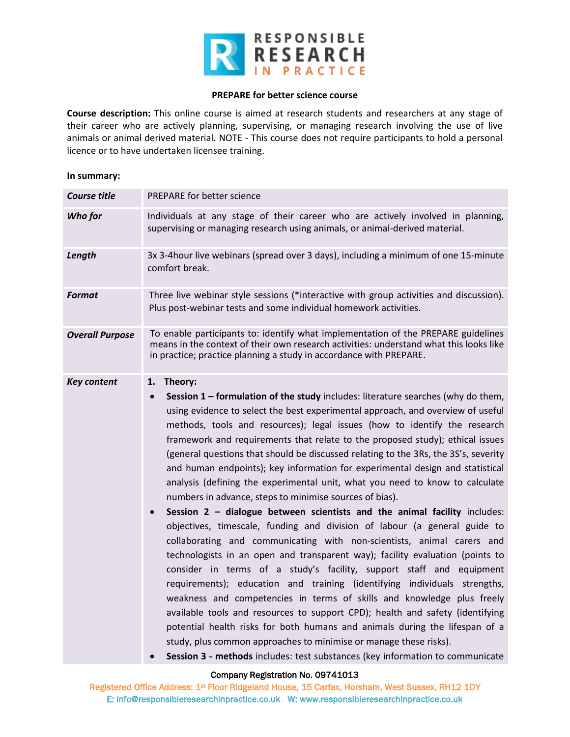

## **PREPARE for better science course**

**Course description:** This online course is aimed at research students and researchers at any stage of their career who are actively planning, supervising, or managing research involving the use of live animals or animal derived material. NOTE - This course does not require participants to hold a personal licence or to have undertaken licensee training.

## **In summary:**

| <b>Course title</b>    | PREPARE for better science                                                                                                                                                                                                                                                                                                                                                                                                                                                                                                                                                                                                                                                                                                                                                                                                                                                                                                                                                                                                                                                                                                                                                                                                                                                                                                                                                                                                                                                                                                                                                  |
|------------------------|-----------------------------------------------------------------------------------------------------------------------------------------------------------------------------------------------------------------------------------------------------------------------------------------------------------------------------------------------------------------------------------------------------------------------------------------------------------------------------------------------------------------------------------------------------------------------------------------------------------------------------------------------------------------------------------------------------------------------------------------------------------------------------------------------------------------------------------------------------------------------------------------------------------------------------------------------------------------------------------------------------------------------------------------------------------------------------------------------------------------------------------------------------------------------------------------------------------------------------------------------------------------------------------------------------------------------------------------------------------------------------------------------------------------------------------------------------------------------------------------------------------------------------------------------------------------------------|
| Who for                | Individuals at any stage of their career who are actively involved in planning,<br>supervising or managing research using animals, or animal-derived material.                                                                                                                                                                                                                                                                                                                                                                                                                                                                                                                                                                                                                                                                                                                                                                                                                                                                                                                                                                                                                                                                                                                                                                                                                                                                                                                                                                                                              |
| Length                 | 3x 3-4hour live webinars (spread over 3 days), including a minimum of one 15-minute<br>comfort break.                                                                                                                                                                                                                                                                                                                                                                                                                                                                                                                                                                                                                                                                                                                                                                                                                                                                                                                                                                                                                                                                                                                                                                                                                                                                                                                                                                                                                                                                       |
| <b>Format</b>          | Three live webinar style sessions (*interactive with group activities and discussion).<br>Plus post-webinar tests and some individual homework activities.                                                                                                                                                                                                                                                                                                                                                                                                                                                                                                                                                                                                                                                                                                                                                                                                                                                                                                                                                                                                                                                                                                                                                                                                                                                                                                                                                                                                                  |
| <b>Overall Purpose</b> | To enable participants to: identify what implementation of the PREPARE guidelines<br>means in the context of their own research activities: understand what this looks like<br>in practice; practice planning a study in accordance with PREPARE.                                                                                                                                                                                                                                                                                                                                                                                                                                                                                                                                                                                                                                                                                                                                                                                                                                                                                                                                                                                                                                                                                                                                                                                                                                                                                                                           |
| <b>Key content</b>     | Theory:<br>1.<br>Session 1 - formulation of the study includes: literature searches (why do them,<br>$\bullet$<br>using evidence to select the best experimental approach, and overview of useful<br>methods, tools and resources); legal issues (how to identify the research<br>framework and requirements that relate to the proposed study); ethical issues<br>(general questions that should be discussed relating to the 3Rs, the 3S's, severity<br>and human endpoints); key information for experimental design and statistical<br>analysis (defining the experimental unit, what you need to know to calculate<br>numbers in advance, steps to minimise sources of bias).<br>Session $2$ – dialogue between scientists and the animal facility includes:<br>objectives, timescale, funding and division of labour (a general guide to<br>collaborating and communicating with non-scientists, animal carers and<br>technologists in an open and transparent way); facility evaluation (points to<br>consider in terms of a study's facility, support staff and equipment<br>requirements); education and training (identifying individuals strengths,<br>weakness and competencies in terms of skills and knowledge plus freely<br>available tools and resources to support CPD); health and safety (identifying<br>potential health risks for both humans and animals during the lifespan of a<br>study, plus common approaches to minimise or manage these risks).<br>Session 3 - methods includes: test substances (key information to communicate<br>$\bullet$ |